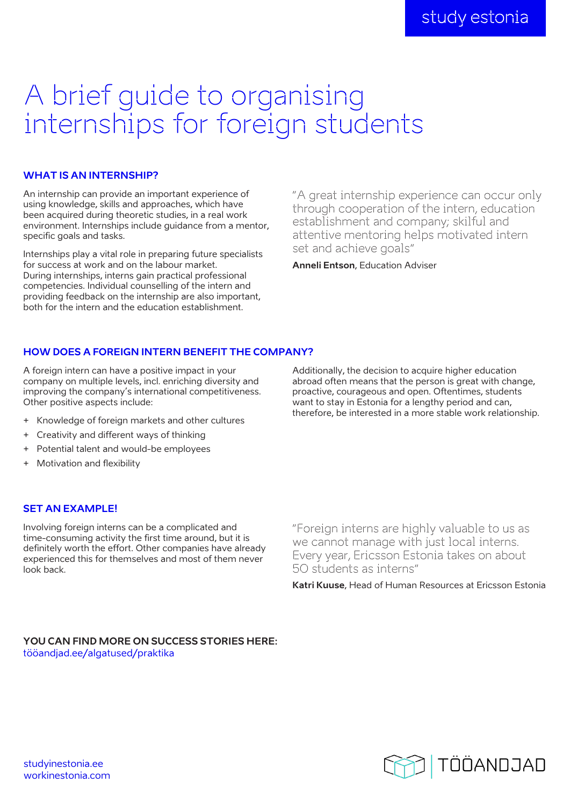# A brief guide to organising internships for foreign students

## **WHAT IS AN INTERNSHIP?**

An internship can provide an important experience of using knowledge, skills and approaches, which have been acquired during theoretic studies, in a real work environment. Internships include guidance from a mentor, specific goals and tasks.

Internships play a vital role in preparing future specialists for success at work and on the labour market. During internships, interns gain practical professional competencies. Individual counselling of the intern and providing feedback on the internship are also important, both for the intern and the education establishment.

"A great internship experience can occur only through cooperation of the intern, education establishment and company; skilful and attentive mentoring helps motivated intern set and achieve goals"

**Anneli Entson**, Education Adviser

## **HOW DOES A FOREIGN INTERN BENEFIT THE COMPANY?**

A foreign intern can have a positive impact in your company on multiple levels, incl. enriching diversity and improving the company's international competitiveness. Other positive aspects include:

- + Knowledge of foreign markets and other cultures
- + Creativity and different ways of thinking
- + Potential talent and would-be employees
- + Motivation and flexibility

## **SET AN EXAMPLE!**

Involving foreign interns can be a complicated and time-consuming activity the first time around, but it is definitely worth the effort. Other companies have already experienced this for themselves and most of them never look back.

Additionally, the decision to acquire higher education abroad often means that the person is great with change, proactive, courageous and open. Oftentimes, students want to stay in Estonia for a lengthy period and can, therefore, be interested in a more stable work relationship.

"Foreign interns are highly valuable to us as we cannot manage with just local interns. Every year, Ericsson Estonia takes on about 50 students as interns"

**Katri Kuuse**, Head of Human Resources at Ericsson Estonia

### **YOU CAN FIND MORE ON SUCCESS STORIES HERE:**  [tööandjad.ee/algatused/praktika](https://xn--tandjad-90aa.ee/algatused/praktika/)